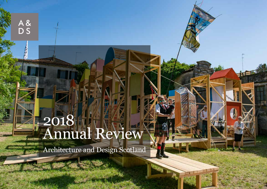# 2018 Annual Review

A&<br>DS

Architecture and Design Scotland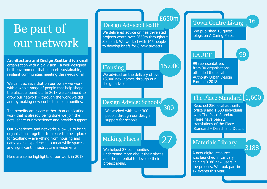## Be part of our network

**Architecture and Design Scotland** is a small organisation with a big vision - a well-designed built environment that supports sustainable, resilient communities meeting the needs of all.

We can't achieve that on our own – we work with a whole range of people that help shape the places around us. In 2018 we continued to grow our network – through the work we did and by making new contacts in communities.

The benefits are clear: rather than duplicating work that is already being done we join the dots, share our experience and provide support.

Our experience and networks allow us to bring organisations together to create the best places for Scotland – everything from housing and early years' experiences to meanwhile spaces and significant infrastructure investments.

Here are some highlights of our work in 2018.

## Design Advice: Health

We delivered advice on health-related projects worth over £650m throughout Scotland. We worked with 146 people to develop briefs for 8 new projects.

#### Housing

15,000

27

We advised on the delivery of over 15,000 new homes through our design advice.

#### Design Advice: Schools 300

We worked with over 300 people through our design support for schools.

#### Making Places

We helped 27 communities understand more about their places and the potential to develop their project ideas.

#### Town Centre Living £650m

We published 16 quest blogs on A Caring Place.

## LAUDF

99

16

99 representatives from 30 organisations attended the Local Authority Urban Design Forum in 2018.

## The Place Standard 1,600

Reached 250 local authority officers and 1,600 individuals with The Place Standard. There have been 2 translations of the Place Standard – Danish and Dutch.

## Materials Library

3188

A new digital resource was launched in January gaining 3188 new users in the process. We took part in 17 events this year.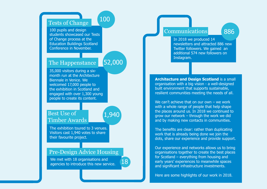## Tests of Change

100 pupils and design students showcased our Tests of Change process at the Education Buildings Scotland Conference in November.

#### The Happenstance

### 52,000

100

35,000 visitors during a sixmonth run at the Architecture Biennale in Venice. We welcomed 17,000 people to the exhibition in Scotland and engaged with over 1,300 young people to create its content.

### Best Use of Timber Awards

 $^{^{\prime}}$ 1,940

18

The exhibition toured to 3 venues. Visitors cast 1,940 votes to share their favourite project.

#### Pre-Design Advice Housing

We met with 18 organisations and agencies to introduce this new service.

## Communications 886

In 2018 we produced 14 newsletters and attracted 886 new Twitter followers. We gained an additional 574 new followers on Instagram.

**Architecture and Design Scotland** is a small organisation with a big vision - a well-designed built environment that supports sustainable, resilient communities meeting the needs of all.

We can't achieve that on our own – we work with a whole range of people that help shape the places around us. In 2018 we continued to grow our network – through the work we did and by making new contacts in communities.

The benefits are clear: rather than duplicating work that is already being done we join the dots, share our experience and provide support.

Our experience and networks allows us to bring organisations together to create the best places for Scotland – everything from housing and early years' experiences to meanwhile spaces and significant infrastructure investments.

Here are some highlights of our work in 2018.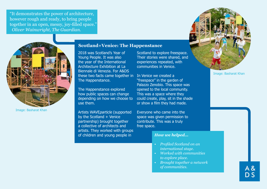"It demonstrates the power of architecture, however rough and ready, to bring people together in an open, messy, joy-filled space." *Oliver Wainwright, The Guardian.*



Image: Basharat Khan

#### **Scotland+Venice: The Happenstance**

2018 was Scotland's Year of Young People. It was also the year of the International Architecture Exhibition at La Biennale di Venezia. For A&DS these two facts came together in In Venice we created a The Happenstance.

The Happenstance explored how public spaces can change depending on how we choose to use them.

Artists WAVEparticle (supported by the Scotland + Venice partnership) brought together a collective of architects and artists. They worked with groups of children and young people in

Scotland to explore freespace. Their stories were shared, and experiences repeated, with communities in Venice.

"freespace" in the garden of Palazzo Zenobio. This space was opened to the local community. This was a space where they could create, play, sit in the shade or show a film they had made.

Everyone who came into the space was given permission to contribute. This was a truly free space.

#### *How we helped...*

- *• Profiled Scotland on an international stage.*
- *• Worked with communities to explore place.*
- *• Brought together a network of communities.*



Image: Basharat Khan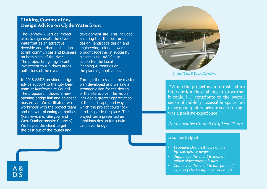#### **Linking Communities – Design Advice on Clyde Waterfront**

The Renfrew Riverside Project aims to regenerate the Clyde Waterfont as an attractive riverside and urban destination to link communities and business on both sides of the river. The project brings significant investment to run down areas both sides of the river.

In 2018 A&DS provided design advice support to the City Deal team at Renfrewshire Council. The proposals included a new opening bridge link and adjacent included a greater appreciation masterplan. We facilitated two workshops with the project team which the project could 'lock' and relevant planning authorities (Renfrewshire, Glasgow and West Dunbartonshire Councils). We helped the client to get the best out of the routes and

development site. This included ensuring that the best urban design, landscape design and engineering solutions were brought together in successful placemaking. A&DS also supported the Local Planning Authorities on the planning application.

Through the sessions the master plan developed and we saw a stronger vision for the design of the site evolve. The vision of the landscape, and ways in into this particular place. The project team presented an ambitious design for a twin cantilever bridge.



Image:(Detail) Kettle Collective

 "While the project is an infrastructure intervention, the challenge to prove that it could […] contribute to the overall sense of publicly accessible space and drive good quality private sector design was a positive experience."

#### *Renfrewshire Council City Deal Team*

#### *How we helped...*

- *• Provided Design Advice on an infrastructure project.*
- *• Supported the client to look at wider placemaking issues.*
- *• Connected the client to our panel of experts (The Design Forum Panel).*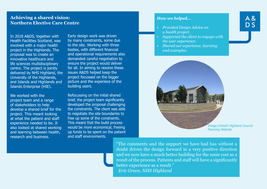## A &  $DS$

#### **Achieving a shared vision: Northern Elective Care Centre**

In 2018 A&DS, together with Health Facilities Scotland, was involved with a major health project in the Highlands. The proposal was to create an innovative healthcare and life sciences multidisciplinary centre. The project is jointly delivered by NHS Highland, the University of the Highlands, and Islands and Highlands and Islands Enterprise (HIE).

We worked with the project team and a range of stakeholders to help develop a shared brief for the project. This meant looking at what the patient and staff experience needed to be. It also looked at shared working and learning between health, research and business.

Early design work was driven by many constraints, some due to the site. Working with three bodies, with different financial and operational requirements also demanded careful negotiation to ensure the project would deliver for all. In aiming to resolve these issues A&DS helped keep the project focussed on the bigger picture and the experiece of the building users.

Refocussing on the initial shared brief, the project team significantly developed the proposal challenging the constraints. The client was able to negotiate the site boundaries to free up some of the constraints. This meant that the build process would be more economical, freeing up funds to be spent on the patient and staff environments.

*How we helped...*

- *• Provided Design Advice on a health project.*
- *• Supported the client to engage with the user experience.*
- *• Shared our experience, learning and examples.*



Image:(Detail) Highland Council Planning Website

"The comments and the support we have had has without a doubt driven the design forward in a very positive direction and we now have a much better building for the same cost as a result of the process. Patients and staff will have a significantly better experience as a result."  *Eric Green, NHS Highland*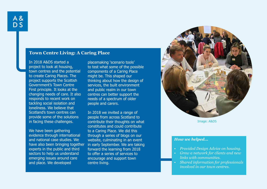#### **Town Centre Living: A Caring Place**

In 2018 A&DS started a project to look at housing, town centres and the potential to create Caring Places. The project supports the Scottish Government's Town Centre First principle. It looks at the changing needs of care. It also responds to recent work on tackling social isolation and loneliness. We believe that Scotland's town centres can provide some of the solutions in facing these challenges.

We have been gathering evidence through international and national case studies. We have also been bringing together experts in the public and third sectors to help us understand emerging issues around care and place. We developed

placemaking 'scenario tools' to test what some of the possible components of a Caring Place might be. This shaped our thinking about how the design of services, the built environment and public realm in our town centres can better support the needs of a spectrum of older people and carers.

In 2018 we invited a range of people from across Scotland to contribute their thoughts on what constitutes and could contribute to a Caring Place. We did this through a series of blogs on our website, culminating in an event in early September. We are taking forward the learning from 2018 to offer a series of services to encourage and support town centre living.



Image: A&DS

#### *How we helped...*

- *• Provided Design Advice on housing.*
- *• Grew a network for clients and new links with communities.*
- *• Shared information for professionals involved in our town centres.*